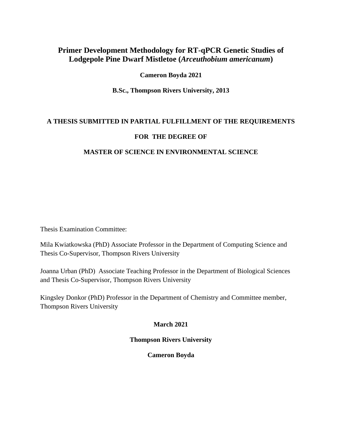# **Primer Development Methodology for RT-qPCR Genetic Studies of Lodgepole Pine Dwarf Mistletoe (***Arceuthobium americanum***)**

#### **Cameron Boyda 2021**

**B.Sc., Thompson Rivers University, 2013**

# **A THESIS SUBMITTED IN PARTIAL FULFILLMENT OF THE REQUIREMENTS**

### **FOR THE DEGREE OF**

### **MASTER OF SCIENCE IN ENVIRONMENTAL SCIENCE**

Thesis Examination Committee:

Mila Kwiatkowska (PhD) Associate Professor in the Department of Computing Science and Thesis Co-Supervisor, Thompson Rivers University

Joanna Urban (PhD) Associate Teaching Professor in the Department of Biological Sciences and Thesis Co-Supervisor, Thompson Rivers University

Kingsley Donkor (PhD) Professor in the Department of Chemistry and Committee member, Thompson Rivers University

### **March 2021**

### **Thompson Rivers University**

### **Cameron Boyda**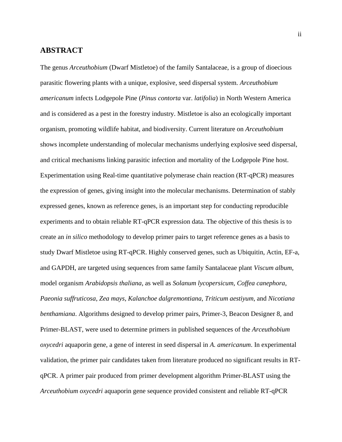### <span id="page-1-0"></span>**ABSTRACT**

The genus *Arceuthobium* (Dwarf Mistletoe) of the family Santalaceae, is a group of dioecious parasitic flowering plants with a unique, explosive, seed dispersal system. *Arceuthobium americanum* infects Lodgepole Pine (*Pinus contorta* var. *latifolia*) in North Western America and is considered as a pest in the forestry industry. Mistletoe is also an ecologically important organism, promoting wildlife habitat, and biodiversity. Current literature on *Arceuthobium* shows incomplete understanding of molecular mechanisms underlying explosive seed dispersal, and critical mechanisms linking parasitic infection and mortality of the Lodgepole Pine host. Experimentation using Real-time quantitative polymerase chain reaction (RT-qPCR) measures the expression of genes, giving insight into the molecular mechanisms. Determination of stably expressed genes, known as reference genes, is an important step for conducting reproducible experiments and to obtain reliable RT-qPCR expression data. The objective of this thesis is to create an *in silico* methodology to develop primer pairs to target reference genes as a basis to study Dwarf Mistletoe using RT-qPCR. Highly conserved genes, such as Ubiquitin, Actin, EF-a, and GAPDH, are targeted using sequences from same family Santalaceae plant *Viscum album*, model organism *Arabidopsis thaliana*, as well as *Solanum lycopersicum*, *Coffea canephora*, *Paeonia suffruticosa*, *Zea mays*, *Kalanchoe dalgremontiana*, *Triticum aestiyum*, and *Nicotiana benthamiana*. Algorithms designed to develop primer pairs, Primer-3, Beacon Designer 8, and Primer-BLAST, were used to determine primers in published sequences of the *Arceuthobium oxycedri* aquaporin gene, a gene of interest in seed dispersal in *A. americanum*. In experimental validation, the primer pair candidates taken from literature produced no significant results in RTqPCR. A primer pair produced from primer development algorithm Primer-BLAST using the *Arceuthobium oxycedri* aquaporin gene sequence provided consistent and reliable RT-qPCR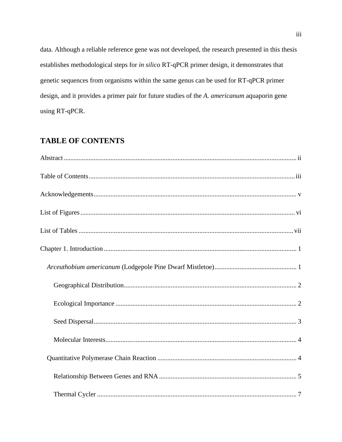data. Although a reliable reference gene was not developed, the research presented in this thesis establishes methodological steps for in silico RT-qPCR primer design, it demonstrates that genetic sequences from organisms within the same genus can be used for RT-qPCR primer design, and it provides a primer pair for future studies of the A. americanum aquaporin gene using RT-qPCR.

# <span id="page-2-0"></span>**TABLE OF CONTENTS**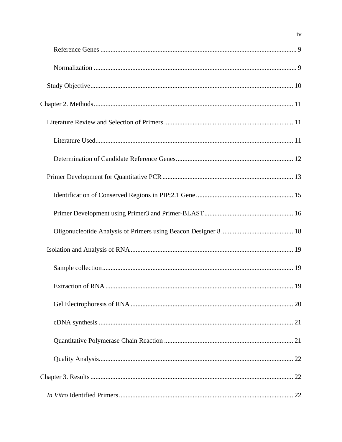$iv$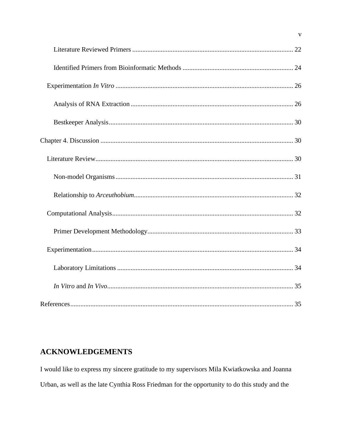# <span id="page-4-0"></span>**ACKNOWLEDGEMENTS**

I would like to express my sincere gratitude to my supervisors Mila Kwiatkowska and Joanna Urban, as well as the late Cynthia Ross Friedman for the opportunity to do this study and the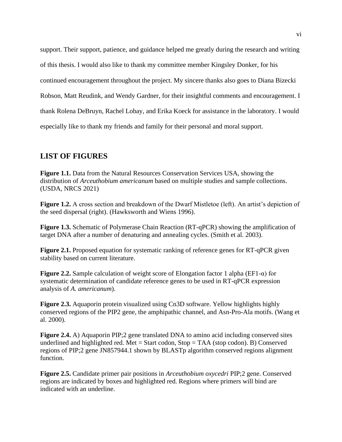support. Their support, patience, and guidance helped me greatly during the research and writing of this thesis. I would also like to thank my committee member Kingsley Donker, for his continued encouragement throughout the project. My sincere thanks also goes to Diana Bizecki Robson, Matt Reudink, and Wendy Gardner, for their insightful comments and encouragement. I thank Rolena DeBruyn, Rachel Lobay, and Erika Koeck for assistance in the laboratory. I would especially like to thank my friends and family for their personal and moral support.

# <span id="page-5-0"></span>**LIST OF FIGURES**

**Figure 1.1.** Data from the Natural Resources Conservation Services USA, showing the distribution of *Arceuthobium americanum* based on multiple studies and sample collections. (USDA, NRCS 2021)

**Figure 1.2.** A cross section and breakdown of the Dwarf Mistletoe (left). An artist's depiction of the seed dispersal (right). (Hawksworth and Wiens 1996).

**Figure 1.3.** Schematic of Polymerase Chain Reaction (RT-qPCR) showing the amplification of target DNA after a number of denaturing and annealing cycles. (Smith et al. 2003).

**Figure 2.1.** Proposed equation for systematic ranking of reference genes for RT-qPCR given stability based on current literature.

**Figure 2.2.** Sample calculation of weight score of Elongation factor 1 alpha (EF1-α) for systematic determination of candidate reference genes to be used in RT-qPCR expression analysis of *A. americanum*).

**Figure 2.3.** Aquaporin protein visualized using Cn3D software. Yellow highlights highly conserved regions of the PIP2 gene, the amphipathic channel, and Asn-Pro-Ala motifs. (Wang et al. 2000).

**Figure 2.4.** A) Aquaporin PIP;2 gene translated DNA to amino acid including conserved sites underlined and highlighted red. Met = Start codon, Stop = TAA (stop codon). B) Conserved regions of PIP;2 gene JN857944.1 shown by BLASTp algorithm conserved regions alignment function.

**Figure 2.5.** Candidate primer pair positions in *Arceuthobium oxycedri* PIP;2 gene. Conserved regions are indicated by boxes and highlighted red. Regions where primers will bind are indicated with an underline.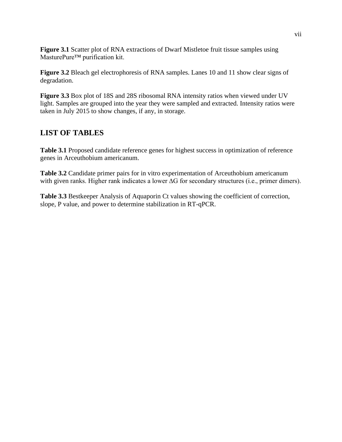**Figure 3.1** Scatter plot of RNA extractions of Dwarf Mistletoe fruit tissue samples using MasturePure™ purification kit.

**Figure 3.2** Bleach gel electrophoresis of RNA samples. Lanes 10 and 11 show clear signs of degradation.

**Figure 3.3** Box plot of 18S and 28S ribosomal RNA intensity ratios when viewed under UV light. Samples are grouped into the year they were sampled and extracted. Intensity ratios were taken in July 2015 to show changes, if any, in storage.

# <span id="page-6-0"></span>**LIST OF TABLES**

**Table 3.1** Proposed candidate reference genes for highest success in optimization of reference genes in Arceuthobium americanum.

**Table 3.2** Candidate primer pairs for in vitro experimentation of Arceuthobium americanum with given ranks. Higher rank indicates a lower ∆G for secondary structures (i.e., primer dimers).

**Table 3.3** Bestkeeper Analysis of Aquaporin Ct values showing the coefficient of correction, slope, P value, and power to determine stabilization in RT-qPCR.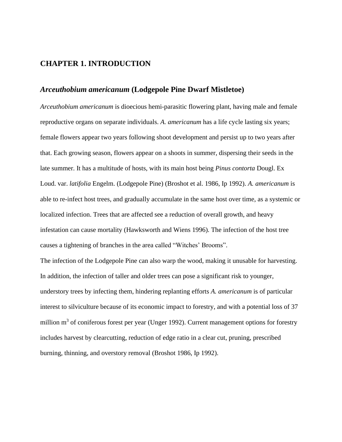### <span id="page-7-0"></span>**CHAPTER 1. INTRODUCTION**

### <span id="page-7-1"></span>*Arceuthobium americanum* **(Lodgepole Pine Dwarf Mistletoe)**

*Arceuthobium americanum* is dioecious hemi-parasitic flowering plant, having male and female reproductive organs on separate individuals. *A. americanum* has a life cycle lasting six years; female flowers appear two years following shoot development and persist up to two years after that. Each growing season, flowers appear on a shoots in summer, dispersing their seeds in the late summer. It has a multitude of hosts, with its main host being *Pinus contorta* Dougl. Ex Loud. var. *latifolia* Engelm. (Lodgepole Pine) (Broshot et al. 1986, Ip 1992). *A. americanum* is able to re-infect host trees, and gradually accumulate in the same host over time, as a systemic or localized infection. Trees that are affected see a reduction of overall growth, and heavy infestation can cause mortality (Hawksworth and Wiens 1996). The infection of the host tree causes a tightening of branches in the area called "Witches' Brooms".

The infection of the Lodgepole Pine can also warp the wood, making it unusable for harvesting. In addition, the infection of taller and older trees can pose a significant risk to younger, understory trees by infecting them, hindering replanting efforts *A. americanum* is of particular interest to silviculture because of its economic impact to forestry, and with a potential loss of 37 million  $m<sup>3</sup>$  of coniferous forest per year (Unger 1992). Current management options for forestry includes harvest by clearcutting, reduction of edge ratio in a clear cut, pruning, prescribed burning, thinning, and overstory removal (Broshot 1986, Ip 1992).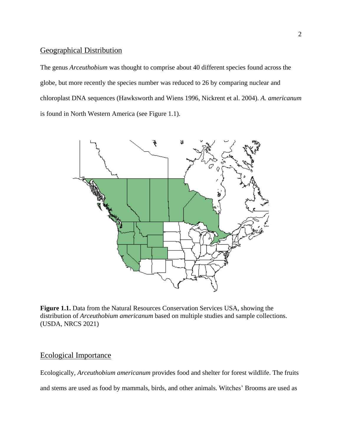### <span id="page-8-0"></span>Geographical Distribution

The genus *Arceuthobium* was thought to comprise about 40 different species found across the globe, but more recently the species number was reduced to 26 by comparing nuclear and chloroplast DNA sequences (Hawksworth and Wiens 1996, Nickrent et al. 2004). *A. americanum*  is found in North Western America (see Figure 1.1).



**Figure 1.1.** Data from the Natural Resources Conservation Services USA, showing the distribution of *Arceuthobium americanum* based on multiple studies and sample collections. (USDA, NRCS 2021)

#### <span id="page-8-1"></span>Ecological Importance

Ecologically, *Arceuthobium americanum* provides food and shelter for forest wildlife. The fruits and stems are used as food by mammals, birds, and other animals. Witches' Brooms are used as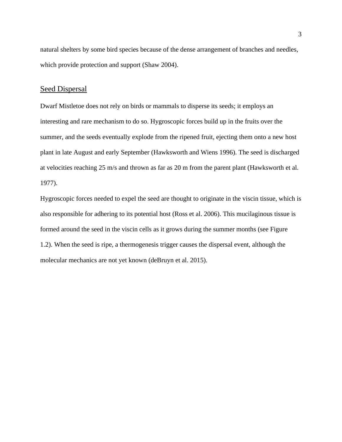natural shelters by some bird species because of the dense arrangement of branches and needles, which provide protection and support (Shaw 2004).

#### <span id="page-9-0"></span>Seed Dispersal

Dwarf Mistletoe does not rely on birds or mammals to disperse its seeds; it employs an interesting and rare mechanism to do so. Hygroscopic forces build up in the fruits over the summer, and the seeds eventually explode from the ripened fruit, ejecting them onto a new host plant in late August and early September (Hawksworth and Wiens 1996). The seed is discharged at velocities reaching 25 m/s and thrown as far as 20 m from the parent plant (Hawksworth et al. 1977).

Hygroscopic forces needed to expel the seed are thought to originate in the viscin tissue, which is also responsible for adhering to its potential host (Ross et al. 2006). This mucilaginous tissue is formed around the seed in the viscin cells as it grows during the summer months (see Figure 1.2). When the seed is ripe, a thermogenesis trigger causes the dispersal event, although the molecular mechanics are not yet known (deBruyn et al. 2015).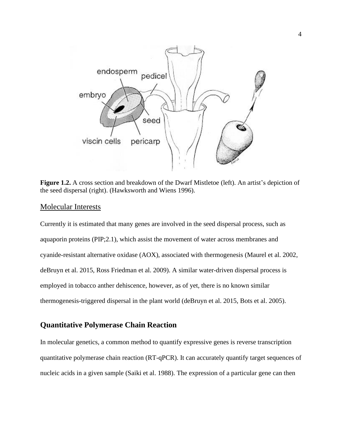

**Figure 1.2.** A cross section and breakdown of the Dwarf Mistletoe (left). An artist's depiction of the seed dispersal (right). (Hawksworth and Wiens 1996).

#### <span id="page-10-0"></span>Molecular Interests

Currently it is estimated that many genes are involved in the seed dispersal process, such as aquaporin proteins (PIP;2.1), which assist the movement of water across membranes and cyanide-resistant alternative oxidase (AOX), associated with thermogenesis (Maurel et al. 2002, deBruyn et al. 2015, Ross Friedman et al. 2009). A similar water-driven dispersal process is employed in tobacco anther dehiscence, however, as of yet, there is no known similar thermogenesis-triggered dispersal in the plant world (deBruyn et al. 2015, Bots et al. 2005).

### <span id="page-10-1"></span>**Quantitative Polymerase Chain Reaction**

In molecular genetics, a common method to quantify expressive genes is reverse transcription quantitative polymerase chain reaction (RT-qPCR). It can accurately quantify target sequences of nucleic acids in a given sample (Saiki et al. 1988). The expression of a particular gene can then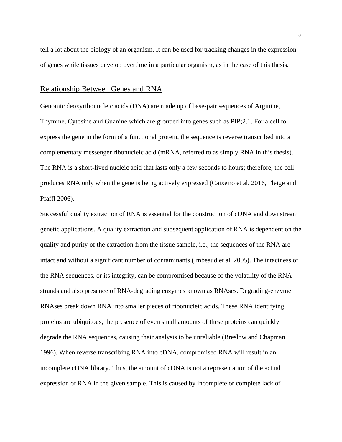tell a lot about the biology of an organism. It can be used for tracking changes in the expression of genes while tissues develop overtime in a particular organism, as in the case of this thesis.

#### <span id="page-11-0"></span>Relationship Between Genes and RNA

Genomic deoxyribonucleic acids (DNA) are made up of base-pair sequences of Arginine, Thymine, Cytosine and Guanine which are grouped into genes such as PIP;2.1. For a cell to express the gene in the form of a functional protein, the sequence is reverse transcribed into a complementary messenger ribonucleic acid (mRNA, referred to as simply RNA in this thesis). The RNA is a short-lived nucleic acid that lasts only a few seconds to hours; therefore, the cell produces RNA only when the gene is being actively expressed (Caixeiro et al. 2016, Fleige and Pfaffl 2006).

Successful quality extraction of RNA is essential for the construction of cDNA and downstream genetic applications. A quality extraction and subsequent application of RNA is dependent on the quality and purity of the extraction from the tissue sample, i.e., the sequences of the RNA are intact and without a significant number of contaminants (Imbeaud et al. 2005). The intactness of the RNA sequences, or its integrity, can be compromised because of the volatility of the RNA strands and also presence of RNA-degrading enzymes known as RNAses. Degrading-enzyme RNAses break down RNA into smaller pieces of ribonucleic acids. These RNA identifying proteins are ubiquitous; the presence of even small amounts of these proteins can quickly degrade the RNA sequences, causing their analysis to be unreliable (Breslow and Chapman 1996). When reverse transcribing RNA into cDNA, compromised RNA will result in an incomplete cDNA library. Thus, the amount of cDNA is not a representation of the actual expression of RNA in the given sample. This is caused by incomplete or complete lack of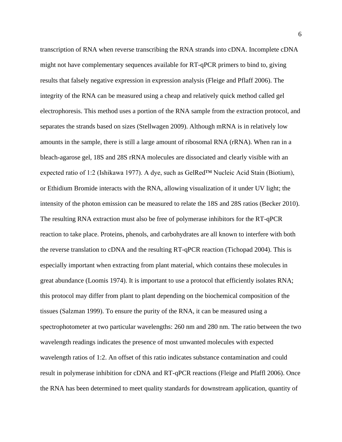transcription of RNA when reverse transcribing the RNA strands into cDNA. Incomplete cDNA might not have complementary sequences available for RT-qPCR primers to bind to, giving results that falsely negative expression in expression analysis (Fleige and Pflaff 2006). The integrity of the RNA can be measured using a cheap and relatively quick method called gel electrophoresis. This method uses a portion of the RNA sample from the extraction protocol, and separates the strands based on sizes (Stellwagen 2009). Although mRNA is in relatively low amounts in the sample, there is still a large amount of ribosomal RNA (rRNA). When ran in a bleach-agarose gel, 18S and 28S rRNA molecules are dissociated and clearly visible with an expected ratio of 1:2 (Ishikawa 1977). A dye, such as GelRed™ Nucleic Acid Stain (Biotium), or Ethidium Bromide interacts with the RNA, allowing visualization of it under UV light; the intensity of the photon emission can be measured to relate the 18S and 28S ratios (Becker 2010). The resulting RNA extraction must also be free of polymerase inhibitors for the RT-qPCR reaction to take place. Proteins, phenols, and carbohydrates are all known to interfere with both the reverse translation to cDNA and the resulting RT-qPCR reaction (Tichopad 2004). This is especially important when extracting from plant material, which contains these molecules in great abundance (Loomis 1974). It is important to use a protocol that efficiently isolates RNA; this protocol may differ from plant to plant depending on the biochemical composition of the tissues (Salzman 1999). To ensure the purity of the RNA, it can be measured using a spectrophotometer at two particular wavelengths: 260 nm and 280 nm. The ratio between the two wavelength readings indicates the presence of most unwanted molecules with expected wavelength ratios of 1:2. An offset of this ratio indicates substance contamination and could result in polymerase inhibition for cDNA and RT-qPCR reactions (Fleige and Pfaffl 2006). Once the RNA has been determined to meet quality standards for downstream application, quantity of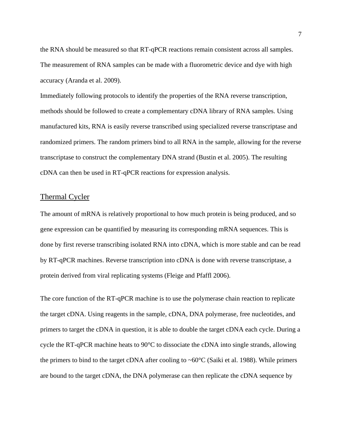the RNA should be measured so that RT-qPCR reactions remain consistent across all samples. The measurement of RNA samples can be made with a fluorometric device and dye with high accuracy (Aranda et al. 2009).

Immediately following protocols to identify the properties of the RNA reverse transcription, methods should be followed to create a complementary cDNA library of RNA samples. Using manufactured kits, RNA is easily reverse transcribed using specialized reverse transcriptase and randomized primers. The random primers bind to all RNA in the sample, allowing for the reverse transcriptase to construct the complementary DNA strand (Bustin et al. 2005). The resulting cDNA can then be used in RT-qPCR reactions for expression analysis.

#### <span id="page-13-0"></span>Thermal Cycler

The amount of mRNA is relatively proportional to how much protein is being produced, and so gene expression can be quantified by measuring its corresponding mRNA sequences. This is done by first reverse transcribing isolated RNA into cDNA, which is more stable and can be read by RT-qPCR machines. Reverse transcription into cDNA is done with reverse transcriptase, a protein derived from viral replicating systems (Fleige and Pfaffl 2006).

The core function of the RT-qPCR machine is to use the polymerase chain reaction to replicate the target cDNA. Using reagents in the sample, cDNA, DNA polymerase, free nucleotides, and primers to target the cDNA in question, it is able to double the target cDNA each cycle. During a cycle the RT-qPCR machine heats to 90°C to dissociate the cDNA into single strands, allowing the primers to bind to the target cDNA after cooling to  $\sim 60^{\circ}$ C (Saiki et al. 1988). While primers are bound to the target cDNA, the DNA polymerase can then replicate the cDNA sequence by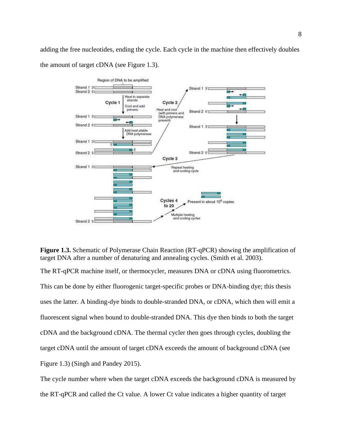adding the free nucleotides, ending the cycle. Each cycle in the machine then effectively doubles the amount of target cDNA (see Figure 1.3).





The RT-qPCR machine itself, or thermocycler, measures DNA or cDNA using fluorometrics. This can be done by either fluorogenic target-specific probes or DNA-binding dye; this thesis uses the latter. A binding-dye binds to double-stranded DNA, or cDNA, which then will emit a fluorescent signal when bound to double-stranded DNA. This dye then binds to both the target cDNA and the background cDNA. The thermal cycler then goes through cycles, doubling the target cDNA until the amount of target cDNA exceeds the amount of background cDNA (see Figure 1.3) (Singh and Pandey 2015).

The cycle number where when the target cDNA exceeds the background cDNA is measured by the RT-qPCR and called the Ct value. A lower Ct value indicates a higher quantity of target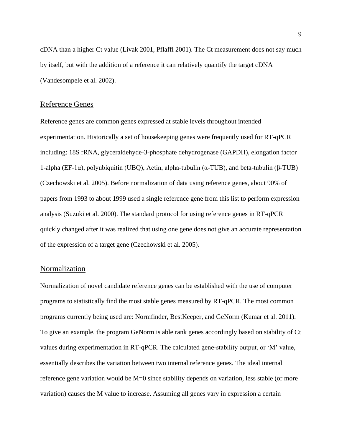cDNA than a higher Ct value (Livak 2001, Pflaffl 2001). The Ct measurement does not say much by itself, but with the addition of a reference it can relatively quantify the target cDNA (Vandesompele et al. 2002).

#### <span id="page-15-0"></span>Reference Genes

Reference genes are common genes expressed at stable levels throughout intended experimentation. Historically a set of housekeeping genes were frequently used for RT-qPCR including: 18S rRNA, glyceraldehyde-3-phosphate dehydrogenase (GAPDH), elongation factor 1-alpha (EF-1α), polyubiquitin (UBQ), Actin, alpha-tubulin (α-TUB), and beta-tubulin (β-TUB) (Czechowski et al. 2005). Before normalization of data using reference genes, about 90% of papers from 1993 to about 1999 used a single reference gene from this list to perform expression analysis (Suzuki et al. 2000). The standard protocol for using reference genes in RT-qPCR quickly changed after it was realized that using one gene does not give an accurate representation of the expression of a target gene (Czechowski et al. 2005).

#### <span id="page-15-1"></span>Normalization

Normalization of novel candidate reference genes can be established with the use of computer programs to statistically find the most stable genes measured by RT-qPCR. The most common programs currently being used are: Normfinder, BestKeeper, and GeNorm (Kumar et al. 2011). To give an example, the program GeNorm is able rank genes accordingly based on stability of Ct values during experimentation in RT-qPCR. The calculated gene-stability output, or 'M' value, essentially describes the variation between two internal reference genes. The ideal internal reference gene variation would be M=0 since stability depends on variation, less stable (or more variation) causes the M value to increase. Assuming all genes vary in expression a certain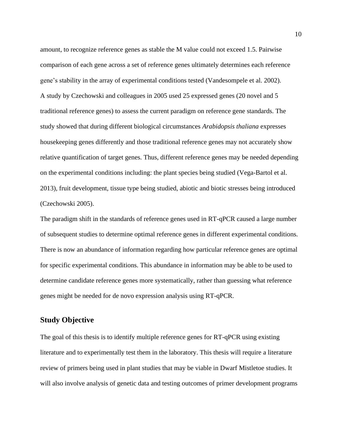amount, to recognize reference genes as stable the M value could not exceed 1.5. Pairwise comparison of each gene across a set of reference genes ultimately determines each reference gene's stability in the array of experimental conditions tested (Vandesompele et al. 2002). A study by Czechowski and colleagues in 2005 used 25 expressed genes (20 novel and 5 traditional reference genes) to assess the current paradigm on reference gene standards. The study showed that during different biological circumstances *Arabidopsis thaliana* expresses housekeeping genes differently and those traditional reference genes may not accurately show relative quantification of target genes. Thus, different reference genes may be needed depending on the experimental conditions including: the plant species being studied (Vega-Bartol et al. 2013), fruit development, tissue type being studied, abiotic and biotic stresses being introduced (Czechowski 2005).

The paradigm shift in the standards of reference genes used in RT-qPCR caused a large number of subsequent studies to determine optimal reference genes in different experimental conditions. There is now an abundance of information regarding how particular reference genes are optimal for specific experimental conditions. This abundance in information may be able to be used to determine candidate reference genes more systematically, rather than guessing what reference genes might be needed for de novo expression analysis using RT-qPCR.

### <span id="page-16-0"></span>**Study Objective**

The goal of this thesis is to identify multiple reference genes for RT-qPCR using existing literature and to experimentally test them in the laboratory. This thesis will require a literature review of primers being used in plant studies that may be viable in Dwarf Mistletoe studies. It will also involve analysis of genetic data and testing outcomes of primer development programs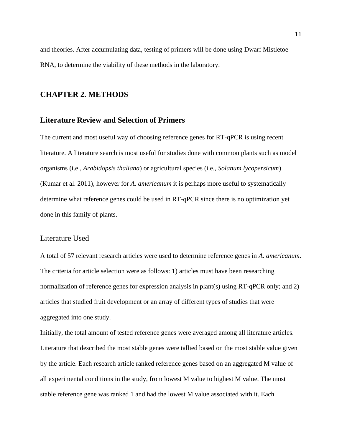and theories. After accumulating data, testing of primers will be done using Dwarf Mistletoe RNA, to determine the viability of these methods in the laboratory.

### <span id="page-17-0"></span>**CHAPTER 2. METHODS**

#### <span id="page-17-1"></span>**Literature Review and Selection of Primers**

The current and most useful way of choosing reference genes for RT-qPCR is using recent literature. A literature search is most useful for studies done with common plants such as model organisms (i.e., *Arabidopsis thaliana*) or agricultural species (i.e., *Solanum lycopersicum*) (Kumar et al. 2011), however for *A. americanum* it is perhaps more useful to systematically determine what reference genes could be used in RT-qPCR since there is no optimization yet done in this family of plants.

#### <span id="page-17-2"></span>Literature Used

A total of 57 relevant research articles were used to determine reference genes in *A. americanum*. The criteria for article selection were as follows: 1) articles must have been researching normalization of reference genes for expression analysis in plant(s) using RT-qPCR only; and 2) articles that studied fruit development or an array of different types of studies that were aggregated into one study.

Initially, the total amount of tested reference genes were averaged among all literature articles. Literature that described the most stable genes were tallied based on the most stable value given by the article. Each research article ranked reference genes based on an aggregated M value of all experimental conditions in the study, from lowest M value to highest M value. The most stable reference gene was ranked 1 and had the lowest M value associated with it. Each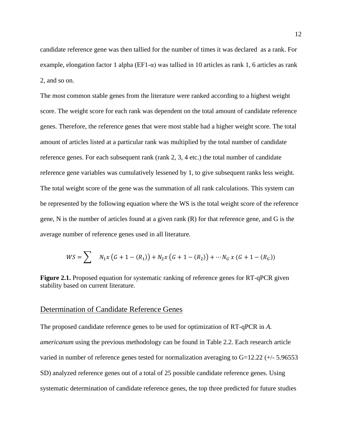candidate reference gene was then tallied for the number of times it was declared as a rank. For example, elongation factor 1 alpha ( $E_{1-α}$ ) was tallied in 10 articles as rank 1, 6 articles as rank 2, and so on.

The most common stable genes from the literature were ranked according to a highest weight score. The weight score for each rank was dependent on the total amount of candidate reference genes. Therefore, the reference genes that were most stable had a higher weight score. The total amount of articles listed at a particular rank was multiplied by the total number of candidate reference genes. For each subsequent rank (rank 2, 3, 4 etc.) the total number of candidate reference gene variables was cumulatively lessened by 1, to give subsequent ranks less weight. The total weight score of the gene was the summation of all rank calculations. This system can be represented by the following equation where the WS is the total weight score of the reference gene, N is the number of articles found at a given rank (R) for that reference gene, and G is the average number of reference genes used in all literature.

$$
WS = \sum_{i=1}^{n} N_1 x (G + 1 - (R_1)) + N_2 x (G + 1 - (R_2)) + \cdots N_G x (G + 1 - (R_G))
$$

**Figure 2.1.** Proposed equation for systematic ranking of reference genes for RT-qPCR given stability based on current literature.

#### <span id="page-18-0"></span>Determination of Candidate Reference Genes

The proposed candidate reference genes to be used for optimization of RT-qPCR in *A. americanum* using the previous methodology can be found in Table 2.2. Each research article varied in number of reference genes tested for normalization averaging to G=12.22 (+/- 5.96553 SD) analyzed reference genes out of a total of 25 possible candidate reference genes. Using systematic determination of candidate reference genes, the top three predicted for future studies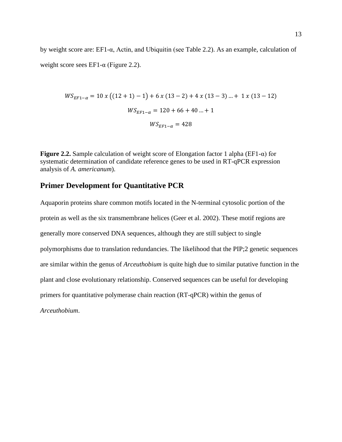by weight score are: EF1-α, Actin, and Ubiquitin (see Table 2.2). As an example, calculation of weight score sees EF1- $\alpha$  (Figure 2.2).

$$
WS_{EF1-\alpha} = 10 x ((12 + 1) - 1) + 6 x (13 - 2) + 4 x (13 - 3) ... + 1 x (13 - 12)
$$
  

$$
WS_{EF1-\alpha} = 120 + 66 + 40 ... + 1
$$
  

$$
WS_{EF1-\alpha} = 428
$$

**Figure 2.2.** Sample calculation of weight score of Elongation factor 1 alpha (EF1-α) for systematic determination of candidate reference genes to be used in RT-qPCR expression analysis of *A. americanum*).

### <span id="page-19-0"></span>**Primer Development for Quantitative PCR**

Aquaporin proteins share common motifs located in the N-terminal cytosolic portion of the protein as well as the six transmembrane helices (Geer et al. 2002). These motif regions are generally more conserved DNA sequences, although they are still subject to single polymorphisms due to translation redundancies. The likelihood that the PIP;2 genetic sequences are similar within the genus of *Arceuthobium* is quite high due to similar putative function in the plant and close evolutionary relationship. Conserved sequences can be useful for developing primers for quantitative polymerase chain reaction (RT-qPCR) within the genus of *Arceuthobium*.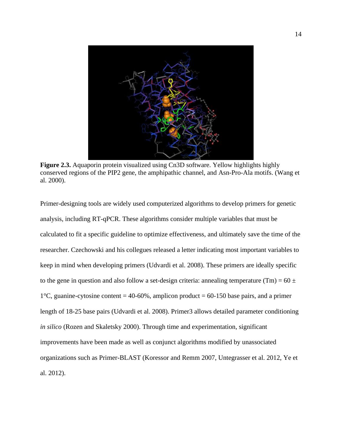

**Figure 2.3.** Aquaporin protein visualized using Cn3D software. Yellow highlights highly conserved regions of the PIP2 gene, the amphipathic channel, and Asn-Pro-Ala motifs. (Wang et al. 2000).

Primer-designing tools are widely used computerized algorithms to develop primers for genetic analysis, including RT-qPCR. These algorithms consider multiple variables that must be calculated to fit a specific guideline to optimize effectiveness, and ultimately save the time of the researcher. Czechowski and his collegues released a letter indicating most important variables to keep in mind when developing primers (Udvardi et al. 2008). These primers are ideally specific to the gene in question and also follow a set-design criteria: annealing temperature (Tm) =  $60 \pm$ 1 $\degree$ C, guanine-cytosine content = 40-60%, amplicon product = 60-150 base pairs, and a primer length of 18-25 base pairs (Udvardi et al. 2008). Primer3 allows detailed parameter conditioning *in silico* (Rozen and Skaletsky 2000). Through time and experimentation, significant improvements have been made as well as conjunct algorithms modified by unassociated organizations such as Primer-BLAST (Koressor and Remm 2007, Untegrasser et al. 2012, Ye et al. 2012).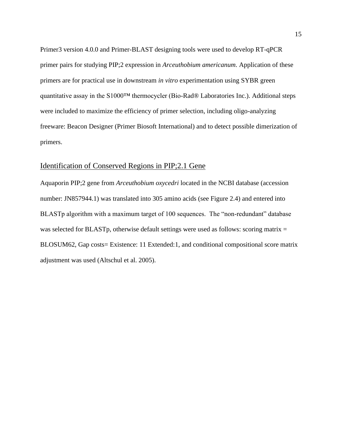Primer3 version 4.0.0 and Primer-BLAST designing tools were used to develop RT-qPCR primer pairs for studying PIP;2 expression in *Arceuthobium americanum*. Application of these primers are for practical use in downstream *in vitro* experimentation using SYBR green quantitative assay in the S1000™ thermocycler (Bio-Rad® Laboratories Inc.). Additional steps were included to maximize the efficiency of primer selection, including oligo-analyzing freeware: Beacon Designer (Primer Biosoft International) and to detect possible dimerization of primers.

#### <span id="page-21-0"></span>Identification of Conserved Regions in PIP;2.1 Gene

Aquaporin PIP;2 gene from *Arceuthobium oxycedri* located in the NCBI database (accession number: JN857944.1) was translated into 305 amino acids (see Figure 2.4) and entered into BLASTp algorithm with a maximum target of 100 sequences. The "non-redundant" database was selected for BLASTp, otherwise default settings were used as follows: scoring matrix = BLOSUM62, Gap costs= Existence: 11 Extended:1, and conditional compositional score matrix adjustment was used (Altschul et al. 2005).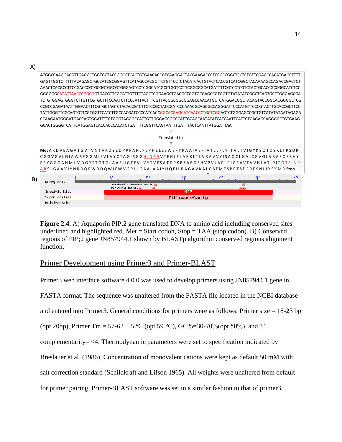| A) |                                                                                                            |                                                                                                            |  |  |  |
|----|------------------------------------------------------------------------------------------------------------|------------------------------------------------------------------------------------------------------------|--|--|--|
|    | ATGGCCAAGGACGTTGAGGCTGGTGCTACCGGCGTCACTGTGAACACCGTCAAGGACTACGAAGACCCTCCGCCGGCTCCTCTGTTCGAGCCACATGAGCTTTT   |                                                                                                            |  |  |  |
|    | GAGTTGGTCTTTTTACAGAGCTGCCATCGCGGAGTTCATAGCCACGCTTCTGTTCCTCTACATCACTGTACTCACCGTCATCGGCTACAAAAGCCAGACCGACTCT |                                                                                                            |  |  |  |
|    | AAACTCACGCCTTCCGACCCGTGCGGTGGCGTGGGAGTCCTCGGCATCGCCTGGTCCTTCGGCGGCATGATTTTCGTCCTCGTCTACTGCACCGCCGGCATCTCC  |                                                                                                            |  |  |  |
|    |                                                                                                            | GGGGGGCATATTAACCCGGCGGTGACGTTCGGATTGTTTCTAGCTCGGAAGCTGACGCTGGTGCGAGCCGTGGTGTATATATCGGCTCAGTGCCTGGGAGCGA    |  |  |  |
|    |                                                                                                            | TCTGTGGAGTGGGTCTTGTTCGTGCTTTCCAATCTTCCCATTACTTTCGTTACGGCGGCGGAGCCAACATGCTCATGGACGGCTACAGTACCGGCACGGGGCTCG  |  |  |  |
|    |                                                                                                            | CCGCCGAGATAATTGGAACTTTCGTGCTAGTCTACACCGTCTTCTCCGCTACCGATCCCAAACGCAGCGCCAGGGATTCCCATGTTCCCGTACTTGCACCGCTTCC |  |  |  |
|    |                                                                                                            | TATTGGGTTCGCAGTGTTCGTGGTTCATCTTGCCACGATCCCCATCACCGGCACGAGCATCAACCCTGCTCGGAGTCTGGGAGCCGCTGTCATATATAATAGAGA  |  |  |  |
|    |                                                                                                            |                                                                                                            |  |  |  |
|    | GCACTGGGGTCATTCATGGAGTCACCACCCACATCTGATTTTCGGTTCAGTAATTTGATTTACTCANTTATGGAT <b>TAA</b>                     |                                                                                                            |  |  |  |
|    | $\overline{?}$                                                                                             |                                                                                                            |  |  |  |
|    | Translated to                                                                                              |                                                                                                            |  |  |  |
|    | $\sqrt{2}$                                                                                                 |                                                                                                            |  |  |  |
|    | Met AKDVEAGATGVTVNTVKDYEDPPPAPLFEPHELLSWSFYRAAIAEFIATLLFLYITVLTVIGYKSQTDSKLTPSDP                           |                                                                                                            |  |  |  |
|    | CGGVGVLGIAWSFGGMIFVLVYCTAGISGGHINPAVTFGLFLARKLTLVRAVVYISAQCLGAICGVGLVRAFQSSHY                              |                                                                                                            |  |  |  |
|    | FRYGGGANMLMDGYSTGTGLAAEIIGTFVLVYTVFSATDPKRSARDSHVPVLAPLPIGFAVFVVHLATIPITGTSINP                             |                                                                                                            |  |  |  |
|    |                                                                                                            | ARSLGAAVIYNRDQEWDDQWIFWVGPLLGAAIAAIYHQFILRAGAVKALGSFMESPPTSDFRFSNLIYSXMDStop                               |  |  |  |
| B) | Query seq.                                                                                                 | 150<br>200                                                                                                 |  |  |  |
|    |                                                                                                            | Asn-Pro-Ala signature motifs<br>amphipathic channel A                                                      |  |  |  |
|    | Specific hits                                                                                              | MIP                                                                                                        |  |  |  |
|    | Superfamilies                                                                                              | MIP superfamilu                                                                                            |  |  |  |
|    | Multi-donains                                                                                              |                                                                                                            |  |  |  |

**Figure 2.4.** A) Aquaporin PIP;2 gene translated DNA to amino acid including conserved sites underlined and highlighted red. Met = Start codon,  $Stop = TAA$  (stop codon). B) Conserved regions of PIP;2 gene JN857944.1 shown by BLASTp algorithm conserved regions alignment function.

### <span id="page-22-0"></span>Primer Development using Primer3 and Primer-BLAST

Primer3 web interface software 4.0.0 was used to develop primers using JN857944.1 gene in FASTA format. The sequence was unaltered from the FASTA file located in the NCBI database and entered into Primer3. General conditions for primers were as follows: Primer size = 18-23 bp (opt 20bp), Primer Tm = 57-62  $\pm$  5 °C (opt 59 °C), GC%=30-70%(opt 50%), and 3' complementarity= <4. Thermodynamic parameters were set to specification indicated by Breslauer et al. (1986). Concentration of monovalent cations were kept as default 50 mM with salt correction standard (Schildkraft and Lifson 1965). All weights were unaltered from default for primer pairing. Primer-BLAST software was set in a similar fashion to that of primer3,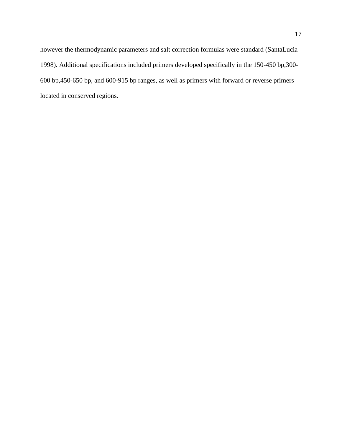however the thermodynamic parameters and salt correction formulas were standard (SantaLucia 1998). Additional specifications included primers developed specifically in the 150-450 bp,300- 600 bp,450-650 bp, and 600-915 bp ranges, as well as primers with forward or reverse primers located in conserved regions.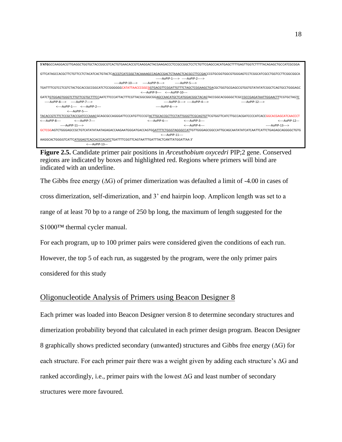

**Figure 2.5.** Candidate primer pair positions in *Arceuthobium oxycedri* PIP;2 gene. Conserved regions are indicated by boxes and highlighted red. Regions where primers will bind are indicated with an underline.

The Gibbs free energy (∆G) of primer dimerization was defaulted a limit of -4.00 in cases of cross dimerization, self-dimerization, and 3' end hairpin loop. Amplicon length was set to a range of at least 70 bp to a range of 250 bp long, the maximum of length suggested for the S1000™ thermal cycler manual.

For each program, up to 100 primer pairs were considered given the conditions of each run.

However, the top 5 of each run, as suggested by the program, were the only primer pairs

considered for this study

### <span id="page-24-0"></span>Oligonucleotide Analysis of Primers using Beacon Designer 8

Each primer was loaded into Beacon Designer version 8 to determine secondary structures and dimerization probability beyond that calculated in each primer design program. Beacon Designer 8 graphically shows predicted secondary (unwanted) structures and Gibbs free energy (∆G) for each structure. For each primer pair there was a weight given by adding each structure's ∆G and ranked accordingly, i.e., primer pairs with the lowest ∆G and least number of secondary structures were more favoured.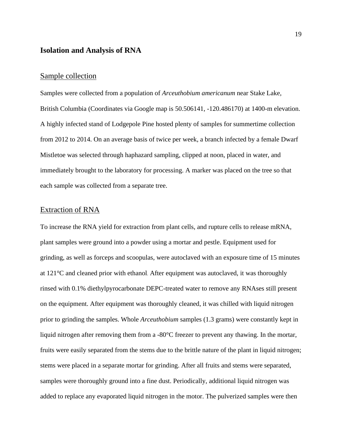### <span id="page-25-0"></span>**Isolation and Analysis of RNA**

#### <span id="page-25-1"></span>Sample collection

Samples were collected from a population of *Arceuthobium americanum* near Stake Lake, British Columbia (Coordinates via Google map is 50.506141, -120.486170) at 1400-m elevation. A highly infected stand of Lodgepole Pine hosted plenty of samples for summertime collection from 2012 to 2014. On an average basis of twice per week, a branch infected by a female Dwarf Mistletoe was selected through haphazard sampling, clipped at noon, placed in water, and immediately brought to the laboratory for processing. A marker was placed on the tree so that each sample was collected from a separate tree.

### <span id="page-25-2"></span>Extraction of RNA

To increase the RNA yield for extraction from plant cells, and rupture cells to release mRNA, plant samples were ground into a powder using a mortar and pestle. Equipment used for grinding, as well as forceps and scoopulas, were autoclaved with an exposure time of 15 minutes at 121°C and cleaned prior with ethanol. After equipment was autoclaved, it was thoroughly rinsed with 0.1% diethylpyrocarbonate DEPC-treated water to remove any RNAses still present on the equipment. After equipment was thoroughly cleaned, it was chilled with liquid nitrogen prior to grinding the samples. Whole *Arceuthobium* samples (1.3 grams) were constantly kept in liquid nitrogen after removing them from a -80°C freezer to prevent any thawing. In the mortar, fruits were easily separated from the stems due to the brittle nature of the plant in liquid nitrogen; stems were placed in a separate mortar for grinding. After all fruits and stems were separated, samples were thoroughly ground into a fine dust. Periodically, additional liquid nitrogen was added to replace any evaporated liquid nitrogen in the motor. The pulverized samples were then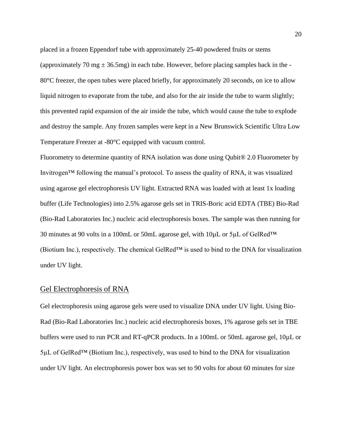placed in a frozen Eppendorf tube with approximately 25-40 powdered fruits or stems (approximately 70 mg  $\pm$  36.5mg) in each tube. However, before placing samples back in the -80°C freezer, the open tubes were placed briefly, for approximately 20 seconds, on ice to allow liquid nitrogen to evaporate from the tube, and also for the air inside the tube to warm slightly; this prevented rapid expansion of the air inside the tube, which would cause the tube to explode and destroy the sample. Any frozen samples were kept in a New Brunswick Scientific Ultra Low Temperature Freezer at -80°C equipped with vacuum control.

Fluorometry to determine quantity of RNA isolation was done using Qubit<sup>®</sup> 2.0 Fluorometer by Invitrogen™ following the manual's protocol. To assess the quality of RNA, it was visualized using agarose gel electrophoresis UV light. Extracted RNA was loaded with at least 1x loading buffer (Life Technologies) into 2.5% agarose gels set in TRIS-Boric acid EDTA (TBE) Bio-Rad (Bio-Rad Laboratories Inc.) nucleic acid electrophoresis boxes. The sample was then running for 30 minutes at 90 volts in a 100mL or 50mL agarose gel, with 10µL or 5µL of GelRed™ (Biotium Inc.), respectively. The chemical GelRed™ is used to bind to the DNA for visualization under UV light.

### <span id="page-26-0"></span>Gel Electrophoresis of RNA

Gel electrophoresis using agarose gels were used to visualize DNA under UV light. Using Bio-Rad (Bio-Rad Laboratories Inc.) nucleic acid electrophoresis boxes, 1% agarose gels set in TBE buffers were used to run PCR and RT-qPCR products. In a 100mL or 50mL agarose gel, 10µL or  $5\mu$ L of GelRed<sup>TM</sup> (Biotium Inc.), respectively, was used to bind to the DNA for visualization under UV light. An electrophoresis power box was set to 90 volts for about 60 minutes for size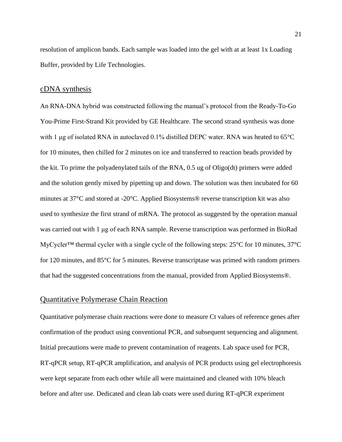resolution of amplicon bands. Each sample was loaded into the gel with at at least 1x Loading Buffer, provided by Life Technologies.

#### <span id="page-27-0"></span>cDNA synthesis

An RNA-DNA hybrid was constructed following the manual's protocol from the Ready-To-Go You-Prime First-Strand Kit provided by GE Healthcare. The second strand synthesis was done with 1 μg of isolated RNA in autoclaved 0.1% distilled DEPC water. RNA was heated to 65°C for 10 minutes, then chilled for 2 minutes on ice and transferred to reaction beads provided by the kit. To prime the polyadenylated tails of the RNA, 0.5 ug of Oligo(dt) primers were added and the solution gently mixed by pipetting up and down. The solution was then incubated for 60 minutes at 37°C and stored at -20°C. Applied Biosystems® reverse transcription kit was also used to synthesize the first strand of mRNA. The protocol as suggested by the operation manual was carried out with 1 μg of each RNA sample. Reverse transcription was performed in BioRad MyCycler™ thermal cycler with a single cycle of the following steps: 25°C for 10 minutes, 37°C for 120 minutes, and 85°C for 5 minutes. Reverse transcriptase was primed with random primers that had the suggested concentrations from the manual, provided from Applied Biosystems®.

#### <span id="page-27-1"></span>Quantitative Polymerase Chain Reaction

Quantitative polymerase chain reactions were done to measure Ct values of reference genes after confirmation of the product using conventional PCR, and subsequent sequencing and alignment. Initial precautions were made to prevent contamination of reagents. Lab space used for PCR, RT-qPCR setup, RT-qPCR amplification, and analysis of PCR products using gel electrophoresis were kept separate from each other while all were maintained and cleaned with 10% bleach before and after use. Dedicated and clean lab coats were used during RT-qPCR experiment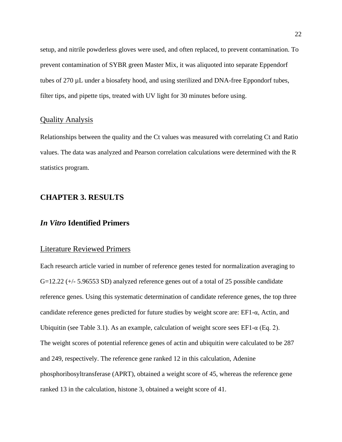setup, and nitrile powderless gloves were used, and often replaced, to prevent contamination. To prevent contamination of SYBR green Master Mix, it was aliquoted into separate Eppendorf tubes of 270 µL under a biosafety hood, and using sterilized and DNA-free Eppondorf tubes, filter tips, and pipette tips, treated with UV light for 30 minutes before using.

#### <span id="page-28-0"></span>Quality Analysis

Relationships between the quality and the Ct values was measured with correlating Ct and Ratio values. The data was analyzed and Pearson correlation calculations were determined with the R statistics program.

### <span id="page-28-1"></span>**CHAPTER 3. RESULTS**

#### <span id="page-28-2"></span>*In Vitro* **Identified Primers**

#### <span id="page-28-3"></span>Literature Reviewed Primers

Each research article varied in number of reference genes tested for normalization averaging to G=12.22 (+/- 5.96553 SD) analyzed reference genes out of a total of 25 possible candidate reference genes. Using this systematic determination of candidate reference genes, the top three candidate reference genes predicted for future studies by weight score are: EF1-α, Actin, and Ubiquitin (see Table 3.1). As an example, calculation of weight score sees EF1- $\alpha$  (Eq. 2). The weight scores of potential reference genes of actin and ubiquitin were calculated to be 287 and 249, respectively. The reference gene ranked 12 in this calculation, Adenine phosphoribosyltransferase (APRT), obtained a weight score of 45, whereas the reference gene ranked 13 in the calculation, histone 3, obtained a weight score of 41.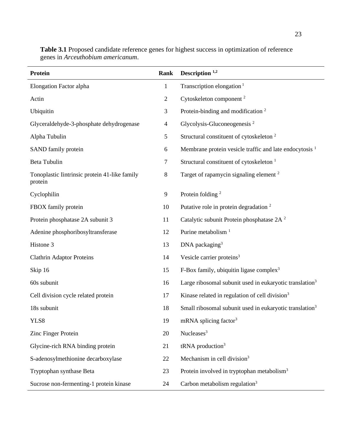| Protein                                                  | Rank           | Description <sup>1,2</sup>                                          |
|----------------------------------------------------------|----------------|---------------------------------------------------------------------|
| Elongation Factor alpha                                  | $\mathbf{1}$   | Transcription elongation <sup>1</sup>                               |
| Actin                                                    | $\overline{c}$ | Cytoskeleton component <sup>2</sup>                                 |
| Ubiquitin                                                | 3              | Protein-binding and modification <sup>2</sup>                       |
| Glyceraldehyde-3-phosphate dehydrogenase                 | $\overline{4}$ | Glycolysis-Gluconeogenesis $2$                                      |
| Alpha Tubulin                                            | 5              | Structural constituent of cytoskeleton <sup>2</sup>                 |
| SAND family protein                                      | 6              | Membrane protein vesicle traffic and late endocytosis <sup>1</sup>  |
| Beta Tubulin                                             | 7              | Structural constituent of cytoskeleton <sup>1</sup>                 |
| Tonoplastic Iintrinsic protein 41-like family<br>protein | 8              | Target of rapamycin signaling element <sup>2</sup>                  |
| Cyclophilin                                              | 9              | Protein folding $2$                                                 |
| FBOX family protein                                      | 10             | Putative role in protein degradation <sup>2</sup>                   |
| Protein phosphatase 2A subunit 3                         | 11             | Catalytic subunit Protein phosphatase 2A <sup>2</sup>               |
| Adenine phosphoribosyltransferase                        | 12             | Purine metabolism <sup>1</sup>                                      |
| Histone 3                                                | 13             | DNA packaging $3$                                                   |
| <b>Clathrin Adaptor Proteins</b>                         | 14             | Vesicle carrier proteins <sup>3</sup>                               |
| Skip 16                                                  | 15             | F-Box family, ubiquitin ligase complex <sup>3</sup>                 |
| 60s subunit                                              | 16             | Large ribosomal subunit used in eukaryotic translation <sup>3</sup> |
| Cell division cycle related protein                      | 17             | Kinase related in regulation of cell division <sup>3</sup>          |
| 18s subunit                                              | 18             | Small ribosomal subunit used in eukaryotic translation <sup>3</sup> |
| YLS8                                                     | 19             | mRNA splicing factor <sup>3</sup>                                   |
| Zinc Finger Protein                                      | 20             | Nucleases <sup>3</sup>                                              |
| Glycine-rich RNA binding protein                         | 21             | $tRNA$ production <sup>3</sup>                                      |
| S-adenosylmethionine decarboxylase                       | 22             | Mechanism in cell division <sup>3</sup>                             |
| Tryptophan synthase Beta                                 | 23             | Protein involved in tryptophan metabolism <sup>3</sup>              |
| Sucrose non-fermenting-1 protein kinase                  | 24             | Carbon metabolism regulation $3$                                    |

**Table 3.1** Proposed candidate reference genes for highest success in optimization of reference genes in *Arceuthobium americanum*.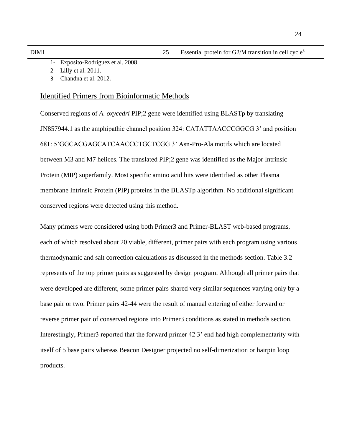- 1- Exposito-Rodriguez et al. 2008.
- 2- Lilly et al. 2011.
- 3- Chandna et al. 2012.

#### <span id="page-30-0"></span>Identified Primers from Bioinformatic Methods

Conserved regions of *A. oxycedri* PIP;2 gene were identified using BLASTp by translating JN857944.1 as the amphipathic channel position 324: CATATTAACCCGGCG 3' and position 681: 5'GGCACGAGCATCAACCCTGCTCGG 3' Asn-Pro-Ala motifs which are located between M3 and M7 helices. The translated PIP;2 gene was identified as the Major Intrinsic Protein (MIP) superfamily. Most specific amino acid hits were identified as other Plasma membrane Intrinsic Protein (PIP) proteins in the BLASTp algorithm. No additional significant conserved regions were detected using this method.

Many primers were considered using both Primer3 and Primer-BLAST web-based programs, each of which resolved about 20 viable, different, primer pairs with each program using various thermodynamic and salt correction calculations as discussed in the methods section. Table 3.2 represents of the top primer pairs as suggested by design program. Although all primer pairs that were developed are different, some primer pairs shared very similar sequences varying only by a base pair or two. Primer pairs 42-44 were the result of manual entering of either forward or reverse primer pair of conserved regions into Primer3 conditions as stated in methods section. Interestingly, Primer3 reported that the forward primer 42 3' end had high complementarity with itself of 5 base pairs whereas Beacon Designer projected no self-dimerization or hairpin loop products.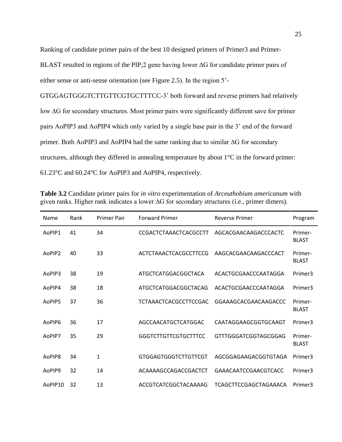Ranking of candidate primer pairs of the best 10 designed primers of Primer3 and Primer-BLAST resulted in regions of the PIP;2 gene having lower ∆G for candidate primer pairs of either sense or anti-sense orientation (see Figure 2.5). In the region 5'-

GTGGAGTGGGTCTTGTTCGTGCTTTCC-3' both forward and reverse primers had relatively low ∆G for secondary structures. Most primer pairs were significantly different save for primer pairs AoPIP3 and AoPIP4 which only varied by a single base pair in the 3' end of the forward primer. Both AoPIP3 and AoPIP4 had the same ranking due to similar ∆G for secondary structures, although they differed in annealing temperature by about 1°C in the forward primer: 61.23°C and 60.24°C for AoPIP3 and AoPIP4, respectively.

| Name    | Rank | <b>Primer Pair</b> | <b>Forward Primer</b>        | <b>Reverse Primer</b> | Program                 |
|---------|------|--------------------|------------------------------|-----------------------|-------------------------|
| AoPIP1  | 41   | 34                 | CCGACTCTAAACTCACGCCTT        | AGCACGAACAAGACCCACTC  | Primer-<br><b>BLAST</b> |
| AoPIP2  | 40   | 33                 | ACTCTAAACTCACGCCTTCCG        | AAGCACGAACAAGACCCACT  | Primer-<br><b>BLAST</b> |
| AoPIP3  | 38   | 19                 | ATGCTCATGGACGGCTACA          | ACACTGCGAACCCAATAGGA  | Primer3                 |
| AoPIP4  | 38   | 18                 | ATGCTCATGGACGGCTACAG         | ACACTGCGAACCCAATAGGA  | Primer3                 |
| AoPIP5  | 37   | 36                 | <b>TCTAAACTCACGCCTTCCGAC</b> | GGAAAGCACGAACAAGACCC  | Primer-<br><b>BLAST</b> |
| AoPIP6  | 36   | 17                 | AGCCAACATGCTCATGGAC          | CAATAGGAAGCGGTGCAAGT  | Primer3                 |
| AoPIP7  | 35   | 29                 | <b>GGGTCTTGTTCGTGCTTTCC</b>  | GTTTGGGATCGGTAGCGGAG  | Primer-<br><b>BLAST</b> |
| AoPIP8  | 34   | $\mathbf{1}$       | <b>GTGGAGTGGGTCTTGTTCGT</b>  | AGCGGAGAAGACGGTGTAGA  | Primer3                 |
| AoPIP9  | 32   | 14                 | ACAAAAGCCAGACCGACTCT         | GAAACAATCCGAACGTCACC  | Primer3                 |
| AoPIP10 | 32   | 13                 | ACCGTCATCGGCTACAAAAG         | TCAGCTTCCGAGCTAGAAACA | Primer3                 |

**Table 3.2** Candidate primer pairs for *in vitro* experimentation of *Arceuthobium americanum* with given ranks. Higher rank indicates a lower ∆G for secondary structures (i.e., primer dimers).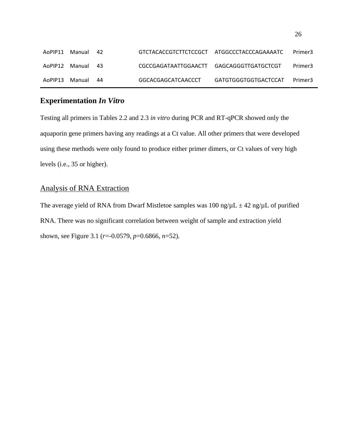| AoPIP11 Manual | 42   | GTCTACACCGTCTTCTCCGCT ATGGCCCTACCCAGAAAATC |                      | Primer3 |
|----------------|------|--------------------------------------------|----------------------|---------|
| AoPIP12 Manual | - 43 | CGCCGAGATAATTGGAACTT GAGCAGGGTTGATGCTCGT   |                      | Primer3 |
| AoPIP13 Manual | 44   | GGCACGAGCATCAACCCT                         | GATGTGGGTGGTGACTCCAT | Primer3 |

# <span id="page-32-0"></span>**Experimentation** *In Vitro*

Testing all primers in Tables 2.2 and 2.3 *in vitro* during PCR and RT-qPCR showed only the aquaporin gene primers having any readings at a Ct value. All other primers that were developed using these methods were only found to produce either primer dimers, or Ct values of very high levels (i.e., 35 or higher).

### <span id="page-32-1"></span>Analysis of RNA Extraction

The average yield of RNA from Dwarf Mistletoe samples was 100 ng/ $\mu$ L  $\pm$  42 ng/ $\mu$ L of purified RNA. There was no significant correlation between weight of sample and extraction yield shown, see Figure 3.1 (*r*=-0.0579, *p*=0.6866, *n*=52).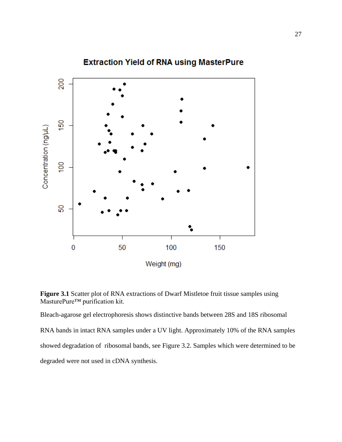

# **Extraction Yield of RNA using MasterPure**

**Figure 3.1** Scatter plot of RNA extractions of Dwarf Mistletoe fruit tissue samples using MasturePure™ purification kit.

Bleach-agarose gel electrophoresis shows distinctive bands between 28S and 18S ribosomal RNA bands in intact RNA samples under a UV light. Approximately 10% of the RNA samples showed degradation of ribosomal bands, see Figure 3.2. Samples which were determined to be degraded were not used in cDNA synthesis.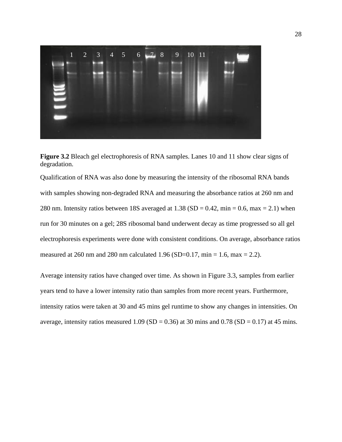

**Figure 3.2** Bleach gel electrophoresis of RNA samples. Lanes 10 and 11 show clear signs of degradation.

Qualification of RNA was also done by measuring the intensity of the ribosomal RNA bands with samples showing non-degraded RNA and measuring the absorbance ratios at 260 nm and 280 nm. Intensity ratios between 18S averaged at 1.38 (SD =  $0.42$ , min = 0.6, max = 2.1) when run for 30 minutes on a gel; 28S ribosomal band underwent decay as time progressed so all gel electrophoresis experiments were done with consistent conditions. On average, absorbance ratios measured at 260 nm and 280 nm calculated 1.96 (SD=0.17, min = 1.6, max = 2.2).

Average intensity ratios have changed over time. As shown in Figure 3.3, samples from earlier years tend to have a lower intensity ratio than samples from more recent years. Furthermore, intensity ratios were taken at 30 and 45 mins gel runtime to show any changes in intensities. On average, intensity ratios measured 1.09 (SD = 0.36) at 30 mins and 0.78 (SD = 0.17) at 45 mins.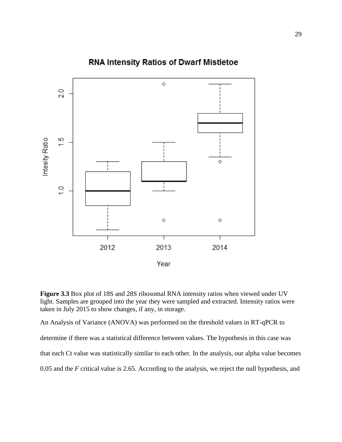

# **RNA Intensity Ratios of Dwarf Mistletoe**

**Figure 3.3** Box plot of 18S and 28S ribosomal RNA intensity ratios when viewed under UV light. Samples are grouped into the year they were sampled and extracted. Intensity ratios were taken in July 2015 to show changes, if any, in storage.

An Analysis of Variance (ANOVA) was performed on the threshold values in RT-qPCR to determine if there was a statistical difference between values. The hypothesis in this case was that each Ct value was statistically similar to each other. In the analysis, our alpha value becomes 0.05 and the *F* critical value is 2.65. According to the analysis, we reject the null hypothesis, and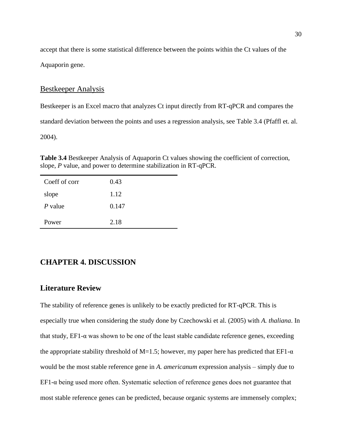accept that there is some statistical difference between the points within the Ct values of the Aquaporin gene.

#### <span id="page-36-0"></span>Bestkeeper Analysis

Bestkeeper is an Excel macro that analyzes Ct input directly from RT-qPCR and compares the

standard deviation between the points and uses a regression analysis, see Table 3.4 (Pfaffl et. al.

2004).

**Table 3.4** Bestkeeper Analysis of Aquaporin Ct values showing the coefficient of correction, slope, *P* value, and power to determine stabilization in RT-qPCR.

| Coeff of corr | 0.43  |
|---------------|-------|
| slope         | 1.12  |
| P value       | 0.147 |
| Power         | 2.18  |

### <span id="page-36-1"></span>**CHAPTER 4. DISCUSSION**

#### <span id="page-36-2"></span>**Literature Review**

The stability of reference genes is unlikely to be exactly predicted for RT-qPCR. This is especially true when considering the study done by Czechowski et al. (2005) with *A. thaliana*. In that study, EF1-α was shown to be one of the least stable candidate reference genes, exceeding the appropriate stability threshold of M=1.5; however, my paper here has predicted that EF1- $\alpha$ would be the most stable reference gene in *A. americanum* expression analysis – simply due to EF1- $α$  being used more often. Systematic selection of reference genes does not guarantee that most stable reference genes can be predicted, because organic systems are immensely complex;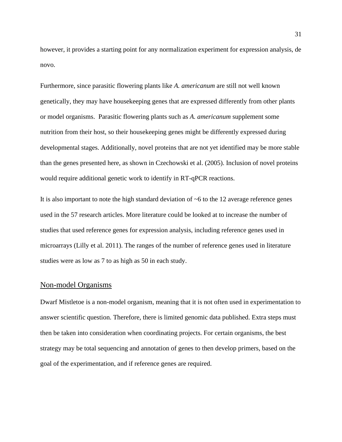however, it provides a starting point for any normalization experiment for expression analysis, de novo.

Furthermore, since parasitic flowering plants like *A. americanum* are still not well known genetically, they may have housekeeping genes that are expressed differently from other plants or model organisms. Parasitic flowering plants such as *A. americanum* supplement some nutrition from their host, so their housekeeping genes might be differently expressed during developmental stages. Additionally, novel proteins that are not yet identified may be more stable than the genes presented here, as shown in Czechowski et al. (2005). Inclusion of novel proteins would require additional genetic work to identify in RT-qPCR reactions.

It is also important to note the high standard deviation of  $\sim$ 6 to the 12 average reference genes used in the 57 research articles. More literature could be looked at to increase the number of studies that used reference genes for expression analysis, including reference genes used in microarrays (Lilly et al. 2011). The ranges of the number of reference genes used in literature studies were as low as 7 to as high as 50 in each study.

#### <span id="page-37-0"></span>Non-model Organisms

Dwarf Mistletoe is a non-model organism, meaning that it is not often used in experimentation to answer scientific question. Therefore, there is limited genomic data published. Extra steps must then be taken into consideration when coordinating projects. For certain organisms, the best strategy may be total sequencing and annotation of genes to then develop primers, based on the goal of the experimentation, and if reference genes are required.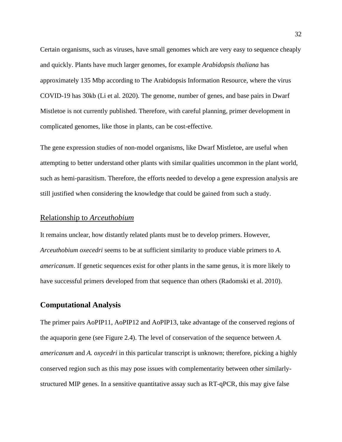Certain organisms, such as viruses, have small genomes which are very easy to sequence cheaply and quickly. Plants have much larger genomes, for example *Arabidopsis thaliana* has approximately 135 Mbp according to The Arabidopsis Information Resource, where the virus COVID-19 has 30kb (Li et al. 2020). The genome, number of genes, and base pairs in Dwarf Mistletoe is not currently published. Therefore, with careful planning, primer development in complicated genomes, like those in plants, can be cost-effective.

The gene expression studies of non-model organisms, like Dwarf Mistletoe, are useful when attempting to better understand other plants with similar qualities uncommon in the plant world, such as hemi-parasitism. Therefore, the efforts needed to develop a gene expression analysis are still justified when considering the knowledge that could be gained from such a study.

### <span id="page-38-0"></span>Relationship to *Arceuthobium*

It remains unclear, how distantly related plants must be to develop primers. However, *Arceuthobium oxecedri* seems to be at sufficient similarity to produce viable primers to *A. americanum*. If genetic sequences exist for other plants in the same genus, it is more likely to have successful primers developed from that sequence than others (Radomski et al. 2010).

### <span id="page-38-1"></span>**Computational Analysis**

The primer pairs AoPIP11, AoPIP12 and AoPIP13, take advantage of the conserved regions of the aquaporin gene (see Figure 2.4). The level of conservation of the sequence between *A. americanum* and *A. oxycedri* in this particular transcript is unknown; therefore, picking a highly conserved region such as this may pose issues with complementarity between other similarlystructured MIP genes. In a sensitive quantitative assay such as RT-qPCR, this may give false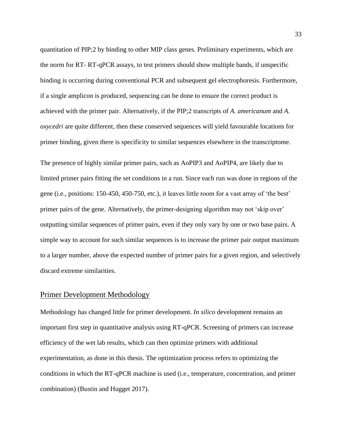quantitation of PIP;2 by binding to other MIP class genes. Preliminary experiments, which are the norm for RT- RT-qPCR assays, to test primers should show multiple bands, if unspecific binding is occurring during conventional PCR and subsequent gel electrophoresis. Furthermore, if a single amplicon is produced, sequencing can be done to ensure the correct product is achieved with the primer pair. Alternatively, if the PIP;2 transcripts of *A. americanum* and *A. oxycedri* are quite different, then these conserved sequences will yield favourable locations for primer binding, given there is specificity to similar sequences elsewhere in the transcriptome.

The presence of highly similar primer pairs, such as AoPIP3 and AoPIP4, are likely due to limited primer pairs fitting the set conditions in a run. Since each run was done in regions of the gene (i.e., positions: 150-450, 450-750, etc.), it leaves little room for a vast array of 'the best' primer pairs of the gene. Alternatively, the primer-designing algorithm may not 'skip over' outputting similar sequences of primer pairs, even if they only vary by one or two base pairs. A simple way to account for such similar sequences is to increase the primer pair output maximum to a larger number, above the expected number of primer pairs for a given region, and selectively discard extreme similarities.

#### <span id="page-39-0"></span>Primer Development Methodology

Methodology has changed little for primer development. *In silico* development remains an important first step in quantitative analysis using RT-qPCR. Screening of primers can increase efficiency of the wet lab results, which can then optimize primers with additional experimentation, as done in this thesis. The optimization process refers to optimizing the conditions in which the RT-qPCR machine is used (i.e., temperature, concentration, and primer combination) (Bustin and Hugget 2017).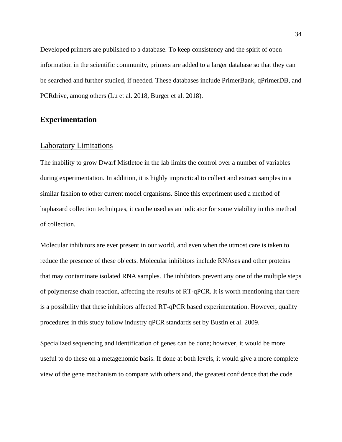Developed primers are published to a database. To keep consistency and the spirit of open information in the scientific community, primers are added to a larger database so that they can be searched and further studied, if needed. These databases include PrimerBank, qPrimerDB, and PCRdrive, among others (Lu et al. 2018, Burger et al. 2018).

### <span id="page-40-0"></span>**Experimentation**

#### <span id="page-40-1"></span>Laboratory Limitations

The inability to grow Dwarf Mistletoe in the lab limits the control over a number of variables during experimentation. In addition, it is highly impractical to collect and extract samples in a similar fashion to other current model organisms. Since this experiment used a method of haphazard collection techniques, it can be used as an indicator for some viability in this method of collection.

Molecular inhibitors are ever present in our world, and even when the utmost care is taken to reduce the presence of these objects. Molecular inhibitors include RNAses and other proteins that may contaminate isolated RNA samples. The inhibitors prevent any one of the multiple steps of polymerase chain reaction, affecting the results of RT-qPCR. It is worth mentioning that there is a possibility that these inhibitors affected RT-qPCR based experimentation. However, quality procedures in this study follow industry qPCR standards set by Bustin et al. 2009.

Specialized sequencing and identification of genes can be done; however, it would be more useful to do these on a metagenomic basis. If done at both levels, it would give a more complete view of the gene mechanism to compare with others and, the greatest confidence that the code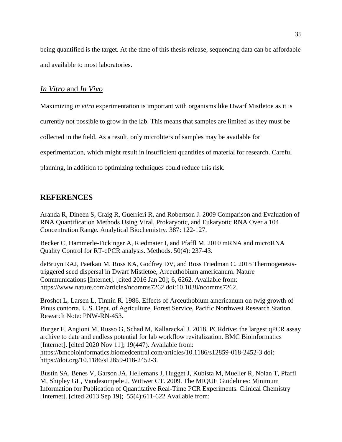being quantified is the target. At the time of this thesis release, sequencing data can be affordable and available to most laboratories.

### <span id="page-41-0"></span>*In Vitro* and *In Vivo*

Maximizing *in vitro* experimentation is important with organisms like Dwarf Mistletoe as it is

currently not possible to grow in the lab. This means that samples are limited as they must be

collected in the field. As a result, only microliters of samples may be available for

experimentation, which might result in insufficient quantities of material for research. Careful

planning, in addition to optimizing techniques could reduce this risk.

### <span id="page-41-1"></span>**REFERENCES**

Aranda R, Dineen S, Craig R, Guerrieri R, and Robertson J. 2009 Comparison and Evaluation of RNA Quantification Methods Using Viral, Prokaryotic, and Eukaryotic RNA Over a 104 Concentration Range. Analytical Biochemistry. 387: 122-127.

Becker C, Hammerle-Fickinger A, Riedmaier I, and Pfaffl M. 2010 mRNA and microRNA Quality Control for RT-qPCR analysis. Methods. 50(4): 237-43.

deBruyn RAJ, Paetkau M, Ross KA, Godfrey DV, and Ross Friedman C. 2015 Thermogenesistriggered seed dispersal in Dwarf Mistletoe, Arceuthobium americanum. Nature Communications [Internet]. [cited 2016 Jan 20]; 6, 6262. Available from: https://www.nature.com/articles/ncomms7262 doi:10.1038/ncomms7262.

Broshot L, Larsen L, Tinnin R. 1986. Effects of Arceuthobium americanum on twig growth of Pinus contorta. U.S. Dept. of Agriculture, Forest Service, Pacific Northwest Research Station. Research Note: PNW-RN-453.

Burger F, Angioni M, Russo G, Schad M, Kallarackal J. 2018. PCRdrive: the largest qPCR assay archive to date and endless potential for lab workflow revitalization. BMC Bioinformatics [Internet]. [cited 2020 Nov 11]; 19(447). Available from: https://bmcbioinformatics.biomedcentral.com/articles/10.1186/s12859-018-2452-3 doi: https://doi.org/10.1186/s12859-018-2452-3.

Bustin SA, Benes V, Garson JA, Hellemans J, Hugget J, Kubista M, Mueller R, Nolan T, Pfaffl M, Shipley GL, Vandesompele J, Wittwer CT. 2009. The MIQUE Guidelines: Minimum Information for Publication of Quantitative Real-Time PCR Experiments. Clinical Chemistry [Internet]. [cited 2013 Sep 19]; 55(4):611-622 Available from: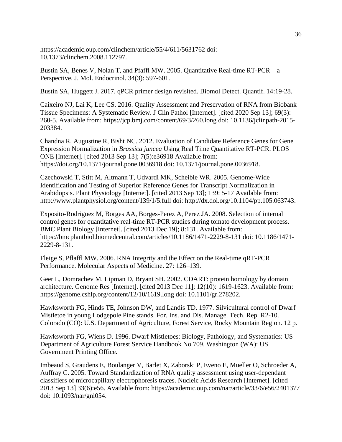https://academic.oup.com/clinchem/article/55/4/611/5631762 doi: 10.1373/clinchem.2008.112797.

Bustin SA, Benes V, Nolan T, and Pfaffl MW. 2005. Quantitative Real-time RT-PCR – a Perspective. J. Mol. Endocrinol. 34(3): 597-601.

Bustin SA, Huggett J. 2017. qPCR primer design revisited. Biomol Detect. Quantif. 14:19-28.

Caixeiro NJ, Lai K, Lee CS. 2016. Quality Assessment and Preservation of RNA from Biobank Tissue Specimens: A Systematic Review. J Clin Pathol [Internet]. [cited 2020 Sep 13]; 69(3): 260-5. Available from: https://jcp.bmj.com/content/69/3/260.long doi: 10.1136/jclinpath-2015- 203384.

Chandna R, Augustine R, Bisht NC. 2012. Evaluation of Candidate Reference Genes for Gene Expression Normalization in *Brassica juncea* Using Real Time Quantitative RT-PCR. PLOS ONE [Internet]. [cited 2013 Sep 13]; 7(5):e36918 Available from: https://doi.org/10.1371/journal.pone.0036918 doi: 10.1371/journal.pone.0036918.

Czechowski T, Stitt M, Altmann T, Udvardi MK, Scheible WR. 2005. Genome-Wide Identification and Testing of Superior Reference Genes for Transcript Normalization in Arabidopsis. Plant Physiology [Internet]. [cited 2013 Sep 13]; 139: 5-17 Available from: http://www.plantphysiol.org/content/139/1/5.full doi: http://dx.doi.org/10.1104/pp.105.063743.

Exposito-Rodriguez M, Borges AA, Borges-Perez A, Perez JA. 2008. Selection of internal control genes for quantitative real-time RT-PCR studies during tomato development process. BMC Plant Biology [Internet]. [cited 2013 Dec 19]; 8:131. Available from: https://bmcplantbiol.biomedcentral.com/articles/10.1186/1471-2229-8-131 doi: 10.1186/1471- 2229-8-131.

Fleige S, Pflaffl MW. 2006. RNA Integrity and the Effect on the Real-time qRT-PCR Performance. Molecular Aspects of Medicine. 27: 126–139.

Geer L, Domrachev M, Lipman D, Bryant SH. 2002. CDART: protein homology by domain architecture. Genome Res [Internet]. [cited 2013 Dec 11]; 12(10): 1619-1623. Available from: https://genome.cshlp.org/content/12/10/1619.long doi: 10.1101/gr.278202.

Hawksworth FG, Hinds TE, Johnson DW, and Landis TD. 1977. Silvicultural control of Dwarf Mistletoe in young Lodgepole Pine stands. For. Ins. and Dis. Manage. Tech. Rep. R2-10. Colorado (CO): U.S. Department of Agriculture, Forest Service, Rocky Mountain Region. 12 p.

Hawksworth FG, Wiens D. 1996. Dwarf Mistletoes: Biology, Pathology, and Systematics: US Department of Agriculture Forest Service Handbook No 709. Washington (WA): US Government Printing Office.

Imbeaud S, Graudens E, Boulanger V, Barlet X, Zaborski P, Eveno E, Mueller O, Schroeder A, Auffray C. 2005. Toward Standardization of RNA quality assessment using user-dependant classifiers of microcapillary electrophoresis traces. Nucleic Acids Research [Internet]. [cited 2013 Sep 13] 33(6):e56. Available from: https://academic.oup.com/nar/article/33/6/e56/2401377 doi: 10.1093/nar/gni054.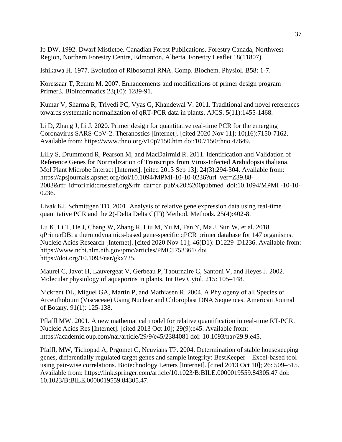Ip DW. 1992. Dwarf Mistletoe. Canadian Forest Publications. Forestry Canada, Northwest Region, Northern Forestry Centre, Edmonton, Alberta. Forestry Leaflet 18(11807).

Ishikawa H. 1977. Evolution of Ribosomal RNA. Comp. Biochem. Physiol. B58: 1-7.

Koressaar T, Remm M. 2007. Enhancements and modifications of primer design program Primer3. Bioinformatics 23(10): 1289-91.

Kumar V, Sharma R, Trivedi PC, Vyas G, Khandewal V. 2011. Traditional and novel references towards systematic normalization of qRT-PCR data in plants. AJCS. 5(11):1455-1468.

Li D, Zhang J, Li J. 2020. Primer design for quantitative real-time PCR for the emerging Coronavirus SARS-CoV-2. Theranostics [Internet]. [cited 2020 Nov 11]; 10(16):7150-7162. Available from: https://www.thno.org/v10p7150.htm doi:10.7150/thno.47649.

Lilly S, Drummond R, Pearson M, and MacDairmid R. 2011. Identification and Validation of Reference Genes for Normalization of Transcripts from Virus-Infected Arabidopsis thaliana. Mol Plant Microbe Interact [Internet]. [cited 2013 Sep 13]; 24(3):294-304. Available from: https://apsjournals.apsnet.org/doi/10.1094/MPMI-10-10-0236?url\_ver=Z39.88- 2003&rfr\_id=ori:rid:crossref.org&rfr\_dat=cr\_pub%20%200pubmed doi:10.1094/MPMI -10-10- 0236.

Livak KJ, Schmittgen TD. 2001. Analysis of relative gene expression data using real-time quantitative PCR and the 2(-Delta Delta C(T)) Method. Methods. 25(4):402-8.

Lu K, Li T, He J, Chang W, Zhang R, Liu M, Yu M, Fan Y, Ma J, Sun W, et al. 2018. qPrimerDB: a thermodynamics-based gene-specific qPCR primer database for 147 organisms. Nucleic Acids Research [Internet]. [cited 2020 Nov 11]; 46(D1): D1229–D1236. Available from: https://www.ncbi.nlm.nih.gov/pmc/articles/PMC5753361/ doi https://doi.org/10.1093/nar/gkx725.

Maurel C, Javot H, Lauvergeat V, Gerbeau P, Taournaire C, Santoni V, and Heyes J. 2002. Molecular physiology of aquaporins in plants. Int Rev Cytol. 215: 105–148.

Nickrent DL, Miguel GA, Martin P, and Mathiasen R. 2004. A Phylogeny of all Species of Arceuthobium (Viscaceae) Using Nuclear and Chloroplast DNA Sequences. American Journal of Botany. 91(1): 125-138.

Pflaffl MW. 2001. A new mathematical model for relative quantification in real-time RT-PCR. Nucleic Acids Res [Internet]. [cited 2013 Oct 10]; 29(9):e45. Available from: https://academic.oup.com/nar/article/29/9/e45/2384081 doi: 10.1093/nar/29.9.e45.

Pfaffl, MW, Tichopad A, Prgomet C, Neuvians TP. 2004. Determination of stable housekeeping genes, differentially regulated target genes and sample integrity: BestKeeper – Excel-based tool using pair-wise correlations. Biotechnology Letters [Internet]. [cited 2013 Oct 10]; 26: 509–515. Available from: https://link.springer.com/article/10.1023/B:BILE.0000019559.84305.47 doi: 10.1023/B:BILE.0000019559.84305.47.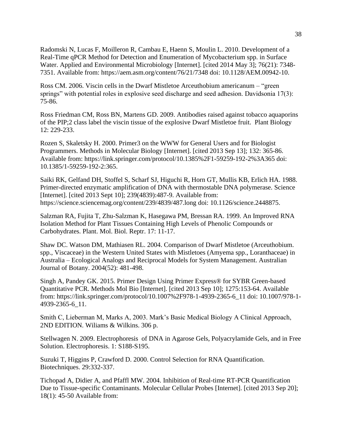Radomski N, Lucas F, Moilleron R, Cambau E, Haenn S, Moulin L. 2010. Development of a Real-Time qPCR Method for Detection and Enumeration of Mycobacterium spp. in Surface Water. Applied and Environmental Microbiology [Internet]. [cited 2014 May 3]; 76(21): 7348- 7351. Available from: https://aem.asm.org/content/76/21/7348 doi: 10.1128/AEM.00942-10.

Ross CM. 2006. Viscin cells in the Dwarf Mistletoe Arceuthobium americanum – "green springs" with potential roles in explosive seed discharge and seed adhesion. Davidsonia 17(3): 75-86.

Ross Friedman CM, Ross BN, Martens GD. 2009. Antibodies raised against tobacco aquaporins of the PIP;2 class label the viscin tissue of the explosive Dwarf Mistletoe fruit. Plant Biology 12: 229-233.

Rozen S, Skaletsky H. 2000. Primer3 on the WWW for General Users and for Biologist Programmers. Methods in Molecular Biology [Internet]. [cited 2013 Sep 13]; 132: 365-86. Available from: https://link.springer.com/protocol/10.1385%2F1-59259-192-2%3A365 doi: 10.1385/1-59259-192-2:365.

Saiki RK, Gelfand DH, Stoffel S, Scharf SJ, Higuchi R, Horn GT, Mullis KB, Erlich HA. 1988. Primer-directed enzymatic amplification of DNA with thermostable DNA polymerase. Science [Internet]. [cited 2013 Sept 10]; 239(4839):487-9. Available from: https://science.sciencemag.org/content/239/4839/487.long doi: 10.1126/science.2448875.

Salzman RA, Fujita T, Zhu-Salzman K, Hasegawa PM, Bressan RA. 1999. An Improved RNA Isolation Method for Plant Tissues Containing High Levels of Phenolic Compounds or Carbohydrates. Plant. Mol. Biol. Reptr. 17: 11-17.

Shaw DC. Watson DM, Mathiasen RL. 2004. Comparison of Dwarf Mistletoe (Arceuthobium. spp., Viscaceae) in the Western United States with Mistletoes (Amyema spp., Loranthaceae) in Australia – Ecological Analogs and Reciprocal Models for System Management. Australian Journal of Botany. 2004(52): 481-498.

Singh A, Pandey GK. 2015. Primer Design Using Primer Express® for SYBR Green-based Quantitative PCR. Methods Mol Bio [Internet]. [cited 2013 Sep 10]; 1275:153-64. Available from: https://link.springer.com/protocol/10.1007%2F978-1-4939-2365-6\_11 doi: 10.1007/978-1- 4939-2365-6\_11.

Smith C, Lieberman M, Marks A, 2003. Mark's Basic Medical Biology A Clinical Approach, 2ND EDITION. Wiliams & Wilkins. 306 p.

Stellwagen N. 2009. Electrophoresis of DNA in Agarose Gels, Polyacrylamide Gels, and in Free Solution. Electrophoresis. 1: S188-S195.

Suzuki T, Higgins P, Crawford D. 2000. Control Selection for RNA Quantification. Biotechniques. 29:332-337.

Tichopad A, Didier A, and Pfaffl MW. 2004. Inhibition of Real-time RT-PCR Quantification Due to Tissue-specific Contaminants. Molecular Cellular Probes [Internet]. [cited 2013 Sep 20]; 18(1): 45-50 Available from: